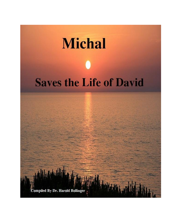# **Michal Saves the Life of David**

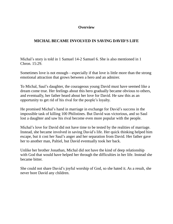## **Overview**

# **MICHAL BECAME INVOLVED IN SAVING DAVID'S LIFE**

Michal's story is told in 1 Samuel 14-2 Samuel 6. She is also mentioned in 1 Chron. 15:29.

Sometimes love is not enough—especially if that love is little more than the strong emotional attraction that grows between a hero and an admirer.

To Michal, Saul's daughter, the courageous young David must have seemed like a dream come true. Her feelings about this hero gradually became obvious to others, and eventually, her father heard about her love for David. He saw this as an opportunity to get rid of his rival for the people's loyalty.

He promised Michal's hand in marriage in exchange for David's success in the impossible task of killing 100 Philistines. But David was victorious, and so Saul lost a daughter and saw his rival become even more popular with the people.

Michal's love for David did not have time to be tested by the realities of marriage. Instead, she became involved in saving David's life. Her quick thinking helped him escape, but it cost her Saul's anger and her separation from David. Her father gave her to another man, Paltiel, but David eventually took her back.

Unlike her brother Jonathan, Michal did not have the kind of deep relationship with God that would have helped her through the difficulties in her life. Instead she became bitter.

She could not share David's joyful worship of God, so she hated it. As a result, she never bore David any children.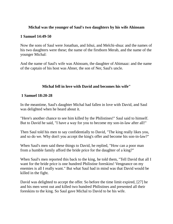### **Michal was the younger of Saul's two daughters by his wife Ahinoam**

### **1 Samuel 14:49-50**

Now the sons of Saul were Jonathan, and Ishui, and Melchi-shua: and the names of his two daughters were these; the name of the firstborn Merab, and the name of the younger Michal:

And the name of Saul's wife was Ahinoam, the daughter of Ahimaaz: and the name of the captain of his host was Abner, the son of Ner, Saul's uncle.

## **Michal fell in love with David and becomes his wife"**

### **1 Samuel 18:20-28**

In the meantime, Saul's daughter Michal had fallen in love with David, and Saul was delighted when he heard about it.

"Here's another chance to see him killed by the Philistines!" Saul said to himself. But to David he said, "I have a way for you to become my son-in-law after all!"

Then Saul told his men to say confidentially to David, "The king really likes you, and so do we. Why don't you accept the king's offer and become his son-in-law?"

When Saul's men said these things to David, he replied, "How can a poor man from a humble family afford the bride price for the daughter of a king?"

When Saul's men reported this back to the king, he told them, "Tell David that all I want for the bride price is one hundred Philistine foreskins! Vengeance on my enemies is all I really want." But what Saul had in mind was that David would be killed in the fight.

David was delighted to accept the offer. So before the time limit expired, [27] he and his men went out and killed two hundred Philistines and presented all their foreskins to the king. So Saul gave Michal to David to be his wife.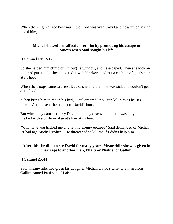When the king realized how much the Lord was with David and how much Michal loved him,

### **Michal showed her affection for him by promoting his escape to Naioth when Saul sought his life**

### **1 Samuel 19:12-17**

So she helped him climb out through a window, and he escaped. Then she took an idol and put it in his bed, covered it with blankets, and put a cushion of goat's hair at its head.

When the troops came to arrest David, she told them he was sick and couldn't get out of bed.

"Then bring him to me in his bed," Saul ordered, "so I can kill him as he lies there!" And he sent them back to David's house.

But when they came to carry David out, they discovered that it was only an idol in the bed with a cushion of goat's hair at its head.

"Why have you tricked me and let my enemy escape?" Saul demanded of Michal. "I had to," Michal replied. "He threatened to kill me if I didn't help him."

### **After this she did not see David for many years. Meanwhile she was given in marriage to another man, Phalti or Phaltiel of Gallim**

### **1 Samuel 25:44**

Saul, meanwhile, had given his daughter Michal, David's wife, to a man from Gallim named Palti son of Laish.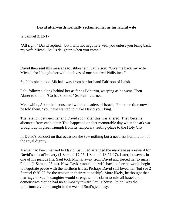## **David afterwards formally reclaimed her as his lawful wife**

2 Samuel 3:13-17

"All right," David replied, "but I will not negotiate with you unless you bring back my wife Michal, Saul's daughter, when you come."

David then sent this message to Ishbosheth, Saul's son: "Give me back my wife Michal, for I bought her with the lives of one hundred Philistines."

So Ishbosheth took Michal away from her husband Palti son of Laish.

Palti followed along behind her as far as Bahurim, weeping as he went. Then Abner told him, "Go back home!" So Palti returned.

Meanwhile, Abner had consulted with the leaders of Israel. "For some time now," he told them, "you have wanted to make David your king.

The relation between her and David soon after this was altered. They became alienated from each other. This happened on that memorable day when the ark was brought up in great triumph from its temporary resting-place to the Holy City.

In David's conduct on that occasion she saw nothing but a needless humiliation of the royal dignity.

Michal had been married to David. Saul had arranged the marriage as a reward for David's acts of bravery (1 Samuel 17:25; 1 Samuel 18:24-27). Later, however, in one of his jealous fits, Saul took Michal away from David and forced her to marry Paltiel (1 Samuel 25:44). Now David wanted his wife back before he would begin to negotiate peace with the northern tribes. Perhaps David still loved her (but see 2 Samuel 6:20-23 for the tension in their relationship). More likely, he thought that marriage to Saul's daughter would strengthen his claim to rule all Israel and demonstrate that he had no animosity toward Saul's house. Paltiel was the unfortunate victim caught in the web of Saul's jealousy.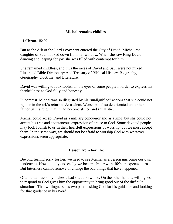### **Michal remains childless**

### **1 Chron. 15:29**

But as the Ark of the Lord's covenant entered the City of David, Michal, the daughter of Saul, looked down from her window. When she saw King David dancing and leaping for joy, she was filled with contempt for him.

She remained childless, and thus the races of David and Saul were not mixed. Illustrated Bible Dictionary: And Treasury of Biblical History, Biography, Geography, Doctrine, and Literature.

David was willing to look foolish in the eyes of some people in order to express his thankfulness to God fully and honestly.

In contrast, Michal was so disgusted by his "undignified" actions that she could not rejoice in the ark's return to Jerusalem. Worship had so deteriorated under her father Saul's reign that it had become stilted and ritualistic.

Michal could accept David as a military conqueror and as a king, but she could not accept his free and spontaneous expression of praise to God. Some devoted people may look foolish to us in their heartfelt expressions of worship, but we must accept them. In the same way, we should not be afraid to worship God with whatever expressions seem appropriate.

### **Lesson from her life:**

Beyond feeling sorry for her, we need to see Michal as a person mirroring our own tendencies. How quickly and easily we become bitter with life's unexpected turns. But bitterness cannot remove or change the bad things that have happened.

Often bitterness only makes a bad situation worse. On the other hand, a willingness to respond to God gives him the opportunity to bring good out of the difficult situations. That willingness has two parts: asking God for his guidance and looking for that guidance in his Word.